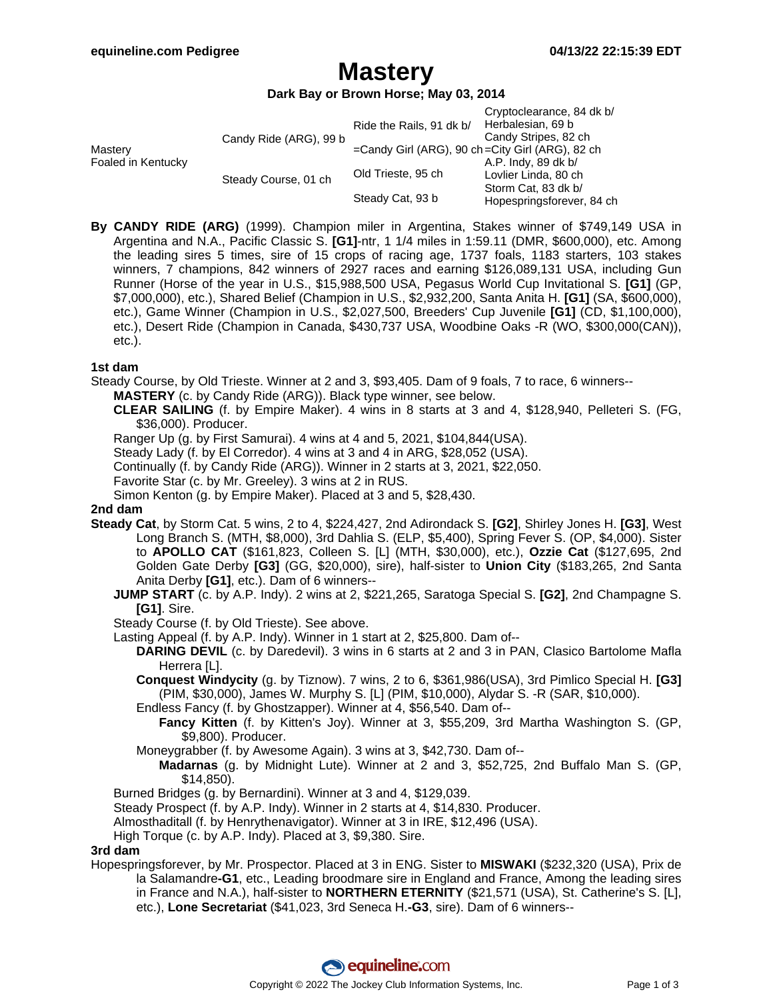### **Mastery**

#### **Dark Bay or Brown Horse; May 03, 2014**

|                               |                        | Ride the Rails, 91 dk b/                               | Cryptoclearance, 84 dk b/<br>Herbalesian, 69 b   |
|-------------------------------|------------------------|--------------------------------------------------------|--------------------------------------------------|
| Mastery<br>Foaled in Kentucky | Candy Ride (ARG), 99 b | $=$ Candy Girl (ARG), 90 ch $=$ City Girl (ARG), 82 ch | Candy Stripes, 82 ch                             |
|                               | Steady Course, 01 ch   | Old Trieste, 95 ch                                     | A.P. Indy, 89 dk b/<br>Lovlier Linda, 80 ch      |
|                               |                        | Steady Cat, 93 b                                       | Storm Cat, 83 dk b/<br>Hopespringsforever, 84 ch |

**By CANDY RIDE (ARG)** (1999). Champion miler in Argentina, Stakes winner of \$749,149 USA in Argentina and N.A., Pacific Classic S. **[G1]**-ntr, 1 1/4 miles in 1:59.11 (DMR, \$600,000), etc. Among the leading sires 5 times, sire of 15 crops of racing age, 1737 foals, 1183 starters, 103 stakes winners, 7 champions, 842 winners of 2927 races and earning \$126,089,131 USA, including Gun Runner (Horse of the year in U.S., \$15,988,500 USA, Pegasus World Cup Invitational S. **[G1]** (GP, \$7,000,000), etc.), Shared Belief (Champion in U.S., \$2,932,200, Santa Anita H. **[G1]** (SA, \$600,000), etc.), Game Winner (Champion in U.S., \$2,027,500, Breeders' Cup Juvenile **[G1]** (CD, \$1,100,000), etc.), Desert Ride (Champion in Canada, \$430,737 USA, Woodbine Oaks -R (WO, \$300,000(CAN)), etc.).

### **1st dam**

Steady Course, by Old Trieste. Winner at 2 and 3, \$93,405. Dam of 9 foals, 7 to race, 6 winners--

**MASTERY** (c. by Candy Ride (ARG)). Black type winner, see below.

**CLEAR SAILING** (f. by Empire Maker). 4 wins in 8 starts at 3 and 4, \$128,940, Pelleteri S. (FG, \$36,000). Producer.

Ranger Up (g. by First Samurai). 4 wins at 4 and 5, 2021, \$104,844(USA).

Steady Lady (f. by El Corredor). 4 wins at 3 and 4 in ARG, \$28,052 (USA).

Continually (f. by Candy Ride (ARG)). Winner in 2 starts at 3, 2021, \$22,050.

Favorite Star (c. by Mr. Greeley). 3 wins at 2 in RUS.

Simon Kenton (g. by Empire Maker). Placed at 3 and 5, \$28,430.

### **2nd dam**

**Steady Cat**, by Storm Cat. 5 wins, 2 to 4, \$224,427, 2nd Adirondack S. **[G2]**, Shirley Jones H. **[G3]**, West Long Branch S. (MTH, \$8,000), 3rd Dahlia S. (ELP, \$5,400), Spring Fever S. (OP, \$4,000). Sister to **APOLLO CAT** (\$161,823, Colleen S. [L] (MTH, \$30,000), etc.), **Ozzie Cat** (\$127,695, 2nd Golden Gate Derby **[G3]** (GG, \$20,000), sire), half-sister to **Union City** (\$183,265, 2nd Santa Anita Derby **[G1]**, etc.). Dam of 6 winners--

**JUMP START** (c. by A.P. Indy). 2 wins at 2, \$221,265, Saratoga Special S. **[G2]**, 2nd Champagne S. **[G1]**. Sire.

Steady Course (f. by Old Trieste). See above.

Lasting Appeal (f. by A.P. Indy). Winner in 1 start at 2, \$25,800. Dam of--

**DARING DEVIL** (c. by Daredevil). 3 wins in 6 starts at 2 and 3 in PAN, Clasico Bartolome Mafla Herrera [L].

**Conquest Windycity** (g. by Tiznow). 7 wins, 2 to 6, \$361,986(USA), 3rd Pimlico Special H. **[G3]** (PIM, \$30,000), James W. Murphy S. [L] (PIM, \$10,000), Alydar S. -R (SAR, \$10,000).

Endless Fancy (f. by Ghostzapper). Winner at 4, \$56,540. Dam of--

**Fancy Kitten** (f. by Kitten's Joy). Winner at 3, \$55,209, 3rd Martha Washington S. (GP, \$9,800). Producer.

- Moneygrabber (f. by Awesome Again). 3 wins at 3, \$42,730. Dam of--
	- **Madarnas** (g. by Midnight Lute). Winner at 2 and 3, \$52,725, 2nd Buffalo Man S. (GP, \$14,850).
- Burned Bridges (g. by Bernardini). Winner at 3 and 4, \$129,039.

Steady Prospect (f. by A.P. Indy). Winner in 2 starts at 4, \$14,830. Producer.

Almosthaditall (f. by Henrythenavigator). Winner at 3 in IRE, \$12,496 (USA).

High Torque (c. by A.P. Indy). Placed at 3, \$9,380. Sire.

### **3rd dam**

Hopespringsforever, by Mr. Prospector. Placed at 3 in ENG. Sister to **MISWAKI** (\$232,320 (USA), Prix de la Salamandre**-G1**, etc., Leading broodmare sire in England and France, Among the leading sires in France and N.A.), half-sister to **NORTHERN ETERNITY** (\$21,571 (USA), St. Catherine's S. [L], etc.), **Lone Secretariat** (\$41,023, 3rd Seneca H.**-G3**, sire). Dam of 6 winners--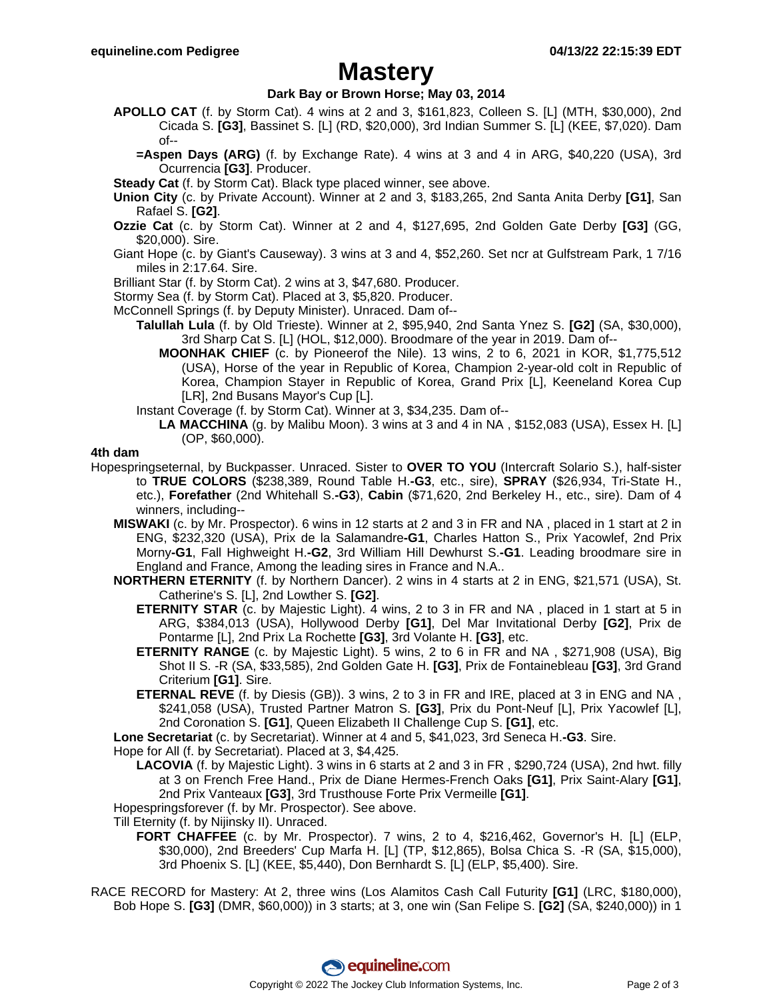## **Mastery**

### **Dark Bay or Brown Horse; May 03, 2014**

- **APOLLO CAT** (f. by Storm Cat). 4 wins at 2 and 3, \$161,823, Colleen S. [L] (MTH, \$30,000), 2nd Cicada S. **[G3]**, Bassinet S. [L] (RD, \$20,000), 3rd Indian Summer S. [L] (KEE, \$7,020). Dam of--
	- **=Aspen Days (ARG)** (f. by Exchange Rate). 4 wins at 3 and 4 in ARG, \$40,220 (USA), 3rd Ocurrencia **[G3]**. Producer.
- **Steady Cat** (f. by Storm Cat). Black type placed winner, see above.
- **Union City** (c. by Private Account). Winner at 2 and 3, \$183,265, 2nd Santa Anita Derby **[G1]**, San Rafael S. **[G2]**.
- **Ozzie Cat** (c. by Storm Cat). Winner at 2 and 4, \$127,695, 2nd Golden Gate Derby **[G3]** (GG, \$20,000). Sire.
- Giant Hope (c. by Giant's Causeway). 3 wins at 3 and 4, \$52,260. Set ncr at Gulfstream Park, 1 7/16 miles in 2:17.64. Sire.
- Brilliant Star (f. by Storm Cat). 2 wins at 3, \$47,680. Producer.
- Stormy Sea (f. by Storm Cat). Placed at 3, \$5,820. Producer.
- McConnell Springs (f. by Deputy Minister). Unraced. Dam of--
	- **Talullah Lula** (f. by Old Trieste). Winner at 2, \$95,940, 2nd Santa Ynez S. **[G2]** (SA, \$30,000), 3rd Sharp Cat S. [L] (HOL, \$12,000). Broodmare of the year in 2019. Dam of--
		- **MOONHAK CHIEF** (c. by Pioneerof the Nile). 13 wins, 2 to 6, 2021 in KOR, \$1,775,512 (USA), Horse of the year in Republic of Korea, Champion 2-year-old colt in Republic of Korea, Champion Stayer in Republic of Korea, Grand Prix [L], Keeneland Korea Cup [LR], 2nd Busans Mayor's Cup [L].
	- Instant Coverage (f. by Storm Cat). Winner at 3, \$34,235. Dam of--
		- **LA MACCHINA** (g. by Malibu Moon). 3 wins at 3 and 4 in NA , \$152,083 (USA), Essex H. [L] (OP, \$60,000).

#### **4th dam**

- Hopespringseternal, by Buckpasser. Unraced. Sister to **OVER TO YOU** (Intercraft Solario S.), half-sister to **TRUE COLORS** (\$238,389, Round Table H.**-G3**, etc., sire), **SPRAY** (\$26,934, Tri-State H., etc.), **Forefather** (2nd Whitehall S.**-G3**), **Cabin** (\$71,620, 2nd Berkeley H., etc., sire). Dam of 4 winners, including--
	- **MISWAKI** (c. by Mr. Prospector). 6 wins in 12 starts at 2 and 3 in FR and NA , placed in 1 start at 2 in ENG, \$232,320 (USA), Prix de la Salamandre**-G1**, Charles Hatton S., Prix Yacowlef, 2nd Prix Morny**-G1**, Fall Highweight H.**-G2**, 3rd William Hill Dewhurst S.**-G1**. Leading broodmare sire in England and France, Among the leading sires in France and N.A..
	- **NORTHERN ETERNITY** (f. by Northern Dancer). 2 wins in 4 starts at 2 in ENG, \$21,571 (USA), St. Catherine's S. [L], 2nd Lowther S. **[G2]**.
		- **ETERNITY STAR** (c. by Majestic Light). 4 wins, 2 to 3 in FR and NA , placed in 1 start at 5 in ARG, \$384,013 (USA), Hollywood Derby **[G1]**, Del Mar Invitational Derby **[G2]**, Prix de Pontarme [L], 2nd Prix La Rochette **[G3]**, 3rd Volante H. **[G3]**, etc.
		- **ETERNITY RANGE** (c. by Majestic Light). 5 wins, 2 to 6 in FR and NA , \$271,908 (USA), Big Shot II S. -R (SA, \$33,585), 2nd Golden Gate H. **[G3]**, Prix de Fontainebleau **[G3]**, 3rd Grand Criterium **[G1]**. Sire.
		- **ETERNAL REVE** (f. by Diesis (GB)). 3 wins, 2 to 3 in FR and IRE, placed at 3 in ENG and NA , \$241,058 (USA), Trusted Partner Matron S. **[G3]**, Prix du Pont-Neuf [L], Prix Yacowlef [L], 2nd Coronation S. **[G1]**, Queen Elizabeth II Challenge Cup S. **[G1]**, etc.

**Lone Secretariat** (c. by Secretariat). Winner at 4 and 5, \$41,023, 3rd Seneca H.**-G3**. Sire.

Hope for All (f. by Secretariat). Placed at 3, \$4,425.

- **LACOVIA** (f. by Majestic Light). 3 wins in 6 starts at 2 and 3 in FR , \$290,724 (USA), 2nd hwt. filly at 3 on French Free Hand., Prix de Diane Hermes-French Oaks **[G1]**, Prix Saint-Alary **[G1]**, 2nd Prix Vanteaux **[G3]**, 3rd Trusthouse Forte Prix Vermeille **[G1]**.
- Hopespringsforever (f. by Mr. Prospector). See above.

Till Eternity (f. by Nijinsky II). Unraced.

- **FORT CHAFFEE** (c. by Mr. Prospector). 7 wins, 2 to 4, \$216,462, Governor's H. [L] (ELP, \$30,000), 2nd Breeders' Cup Marfa H. [L] (TP, \$12,865), Bolsa Chica S. -R (SA, \$15,000), 3rd Phoenix S. [L] (KEE, \$5,440), Don Bernhardt S. [L] (ELP, \$5,400). Sire.
- RACE RECORD for Mastery: At 2, three wins (Los Alamitos Cash Call Futurity **[G1]** (LRC, \$180,000), Bob Hope S. **[G3]** (DMR, \$60,000)) in 3 starts; at 3, one win (San Felipe S. **[G2]** (SA, \$240,000)) in 1